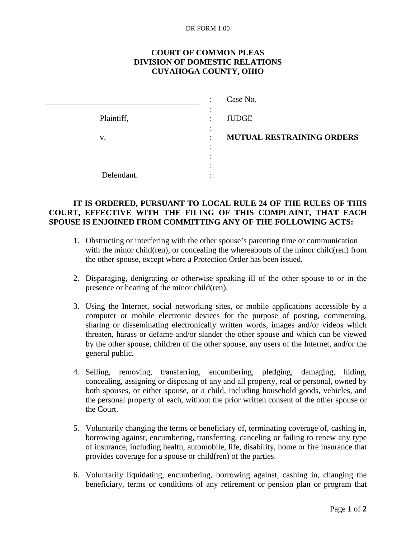## DR FORM 1.00

## **COURT OF COMMON PLEAS DIVISION OF DOMESTIC RELATIONS CUYAHOGA COUNTY, OHIO**

|            | Case No.                         |
|------------|----------------------------------|
| Plaintiff, | <b>JUDGE</b>                     |
| V.         | <b>MUTUAL RESTRAINING ORDERS</b> |
|            |                                  |
|            |                                  |
| Defendant. |                                  |

## **IT IS ORDERED, PURSUANT TO LOCAL RULE 24 OF THE RULES OF THIS COURT, EFFECTIVE WITH THE FILING OF THIS COMPLAINT, THAT EACH SPOUSE IS ENJOINED FROM COMMITTING ANY OF THE FOLLOWING ACTS:**

- 1. Obstructing or interfering with the other spouse's parenting time or communication with the minor child(ren), or concealing the whereabouts of the minor child(ren) from the other spouse, except where a Protection Order has been issued.
- 2. Disparaging, denigrating or otherwise speaking ill of the other spouse to or in the presence or hearing of the minor child(ren).
- 3. Using the Internet, social networking sites, or mobile applications accessible by a computer or mobile electronic devices for the purpose of posting, commenting, sharing or disseminating electronically written words, images and/or videos which threaten, harass or defame and/or slander the other spouse and which can be viewed by the other spouse, children of the other spouse, any users of the Internet, and/or the general public.
- 4. Selling, removing, transferring, encumbering, pledging, damaging, hiding, concealing, assigning or disposing of any and all property, real or personal, owned by both spouses, or either spouse, or a child, including household goods, vehicles, and the personal property of each, without the prior written consent of the other spouse or the Court.
- 5. Voluntarily changing the terms or beneficiary of, terminating coverage of, cashing in, borrowing against, encumbering, transferring, canceling or failing to renew any type of insurance, including health, automobile, life, disability, home or fire insurance that provides coverage for a spouse or child(ren) of the parties.
- 6. Voluntarily liquidating, encumbering, borrowing against, cashing in, changing the beneficiary, terms or conditions of any retirement or pension plan or program that